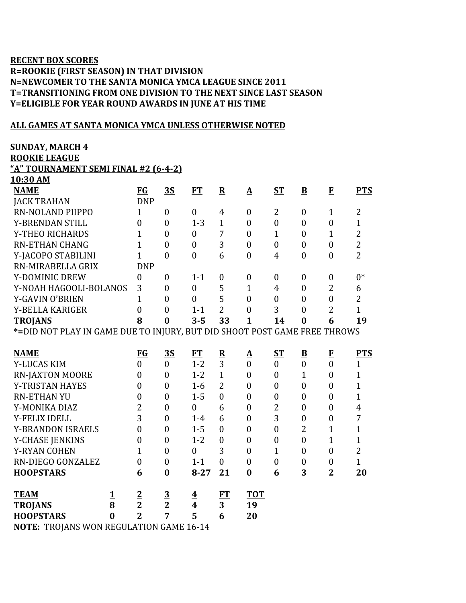#### **RECENT BOX SCORES R=ROOKIE (FIRST SEASON) IN THAT DIVISION N=NEWCOMER TO THE SANTA MONICA YMCA LEAGUE SINCE 2011 T=TRANSITIONING FROM ONE DIVISION TO THE NEXT SINCE LAST SEASON Y=ELIGIBLE FOR YEAR ROUND AWARDS IN JUNE AT HIS TIME**

#### **ALL GAMES AT SANTA MONICA YMCA UNLESS OTHERWISE NOTED**

### **SUNDAY, MARCH 4**

**ROOKIE LEAGUE**

**"A" TOURNAMENT SEMI FINAL #2 (6-4-2)**

| 10:30 AM                                                                   |                  |                  |                         |                          |                          |                  |                         |                  |                         |
|----------------------------------------------------------------------------|------------------|------------------|-------------------------|--------------------------|--------------------------|------------------|-------------------------|------------------|-------------------------|
| <b>NAME</b>                                                                | FG               | <b>3S</b>        | <b>FT</b>               | ${\bf R}$                | $\mathbf{\underline{A}}$ | <b>ST</b>        | $\bf{B}$                | $\mathbf{F}$     | <b>PTS</b>              |
| <b>JACK TRAHAN</b>                                                         |                  | <b>DNP</b>       |                         |                          |                          |                  |                         |                  |                         |
| <b>RN-NOLAND PIIPPO</b>                                                    | $\mathbf{1}$     | $\boldsymbol{0}$ | $\boldsymbol{0}$        | 4                        | $\boldsymbol{0}$         | 2                | $\boldsymbol{0}$        | $\mathbf{1}$     | $\overline{2}$          |
| Y-BRENDAN STILL                                                            | $\boldsymbol{0}$ | $\boldsymbol{0}$ | $1 - 3$                 | $\mathbf{1}$             | $\boldsymbol{0}$         | $\boldsymbol{0}$ | $\boldsymbol{0}$        | $\boldsymbol{0}$ | $\overline{1}$          |
| Y-THEO RICHARDS                                                            | $\overline{1}$   | $\boldsymbol{0}$ | $\mathbf{0}$            | 7                        | $\boldsymbol{0}$         | $\mathbf{1}$     | $\boldsymbol{0}$        | $\mathbf{1}$     | $\overline{2}$          |
| <b>RN-ETHAN CHANG</b>                                                      | $\mathbf{1}$     | $\boldsymbol{0}$ | $\boldsymbol{0}$        | 3                        | $\boldsymbol{0}$         | $\boldsymbol{0}$ | $\boldsymbol{0}$        | $\boldsymbol{0}$ | $\overline{2}$          |
| Y-JACOPO STABILINI                                                         | $\overline{1}$   | $\boldsymbol{0}$ | $\boldsymbol{0}$        | 6                        | $\boldsymbol{0}$         | $\overline{4}$   | $\boldsymbol{0}$        | $\boldsymbol{0}$ | $\overline{2}$          |
| RN-MIRABELLA GRIX                                                          |                  | <b>DNP</b>       |                         |                          |                          |                  |                         |                  |                         |
| Y-DOMINIC DREW                                                             | $\boldsymbol{0}$ | $\boldsymbol{0}$ | $1 - 1$                 | $\boldsymbol{0}$         | $\boldsymbol{0}$         | $\boldsymbol{0}$ | $\boldsymbol{0}$        | $\boldsymbol{0}$ | $0*$                    |
| Y-NOAH HAGOOLI-BOLANOS                                                     | 3                | $\boldsymbol{0}$ | $\boldsymbol{0}$        | 5                        | $\mathbf{1}$             | $\overline{4}$   | $\boldsymbol{0}$        | $\overline{2}$   | 6                       |
| Y-GAVIN O'BRIEN                                                            | $\mathbf{1}$     | $\boldsymbol{0}$ | $\mathbf{0}$            | 5                        | $\boldsymbol{0}$         | $\boldsymbol{0}$ | $\boldsymbol{0}$        | $\boldsymbol{0}$ | $\overline{2}$          |
| Y-BELLA KARIGER                                                            | $\overline{0}$   | $\theta$         | $1 - 1$                 | $\overline{2}$           | $\theta$                 | 3                | $\overline{0}$          | $\overline{2}$   | $\overline{1}$          |
| <b>TROJANS</b>                                                             | 8                | $\bf{0}$         | $3 - 5$                 | 33                       | $\mathbf{1}$             | 14               | $\bf{0}$                | 6                | 19                      |
| *= DID NOT PLAY IN GAME DUE TO INJURY, BUT DID SHOOT POST GAME FREE THROWS |                  |                  |                         |                          |                          |                  |                         |                  |                         |
|                                                                            |                  |                  |                         |                          |                          |                  |                         |                  |                         |
| <b>NAME</b>                                                                | FG               | <u>35</u>        | FT                      | $\underline{\mathbf{R}}$ | $\Delta$                 | <b>ST</b>        | $\overline{\mathbf{B}}$ | $\mathbf{F}$     | <b>PTS</b>              |
| <b>Y-LUCAS KIM</b>                                                         | $\boldsymbol{0}$ | $\overline{0}$   | $1 - 2$                 | 3                        | $\boldsymbol{0}$         | $\boldsymbol{0}$ | $\boldsymbol{0}$        | $\mathbf{0}$     | $\overline{1}$          |
| <b>RN-JAXTON MOORE</b>                                                     | $\boldsymbol{0}$ | $\overline{0}$   | $1 - 2$                 | $\mathbf{1}$             | $\boldsymbol{0}$         | $\mathbf{0}$     | $\mathbf{1}$            | $\boldsymbol{0}$ | $\overline{1}$          |
| Y-TRISTAN HAYES                                                            | $\boldsymbol{0}$ | $\boldsymbol{0}$ | $1-6$                   | $\overline{2}$           | $\boldsymbol{0}$         | $\overline{0}$   | $\boldsymbol{0}$        | $\boldsymbol{0}$ | $\overline{1}$          |
| <b>RN-ETHAN YU</b>                                                         | $\overline{0}$   | $\boldsymbol{0}$ | $1 - 5$                 | $\overline{0}$           | $\boldsymbol{0}$         | $\boldsymbol{0}$ | $\boldsymbol{0}$        | $\boldsymbol{0}$ | $\overline{1}$          |
| Y-MONIKA DIAZ                                                              | $\overline{2}$   | $\boldsymbol{0}$ | $\boldsymbol{0}$        | 6                        | $\boldsymbol{0}$         | $\overline{2}$   | $\boldsymbol{0}$        | $\boldsymbol{0}$ | $\overline{\mathbf{4}}$ |
| Y-FELIX IDELL                                                              | 3                | $\boldsymbol{0}$ | $1-4$                   | 6                        | $\boldsymbol{0}$         | 3                | $\boldsymbol{0}$        | $\boldsymbol{0}$ | 7                       |
| <b>Y-BRANDON ISRAELS</b>                                                   | $\overline{0}$   | $\boldsymbol{0}$ | $1 - 5$                 | $\overline{0}$           | $\boldsymbol{0}$         | $\boldsymbol{0}$ | $\overline{2}$          | $\mathbf{1}$     | $\overline{1}$          |
| Y-CHASE JENKINS                                                            | $\boldsymbol{0}$ | $\boldsymbol{0}$ | $1 - 2$                 | $\boldsymbol{0}$         | $\boldsymbol{0}$         | $\boldsymbol{0}$ | $\boldsymbol{0}$        | $\mathbf{1}$     | $\overline{1}$          |
| <b>Y-RYAN COHEN</b>                                                        | $\overline{1}$   | $\mathbf{0}$     | $\overline{0}$          | 3                        | $\overline{0}$           | $\mathbf{1}$     | $\mathbf{0}$            | $\mathbf{0}$     | $\overline{2}$          |
| RN-DIEGO GONZALEZ                                                          | $\boldsymbol{0}$ | $\boldsymbol{0}$ | $1 - 1$                 | $\mathbf{0}$             | $\overline{0}$           | $\mathbf{0}$     | $\boldsymbol{0}$        | $\boldsymbol{0}$ | $\mathbf{1}$            |
| <b>HOOPSTARS</b>                                                           | 6                | $\bf{0}$         | $8 - 27$                | 21                       | $\bf{0}$                 | 6                | 3                       | $\overline{2}$   | 20                      |
|                                                                            |                  |                  |                         |                          |                          |                  |                         |                  |                         |
| <b>TEAM</b><br><u>1</u>                                                    | $\overline{2}$   | $\overline{3}$   | $\overline{\mathbf{4}}$ | <b>FT</b>                | <b>TOT</b>               |                  |                         |                  |                         |
| <b>TROJANS</b><br>8                                                        | $\mathbf{2}$     | $\overline{2}$   | 4                       | 3                        | 19                       |                  |                         |                  |                         |
| <b>HOOPSTARS</b><br>$\bf{0}$                                               | $\overline{2}$   | 7                | 5                       | 6                        | 20                       |                  |                         |                  |                         |

**NOTE:** TROJANS WON REGULATION GAME 16-14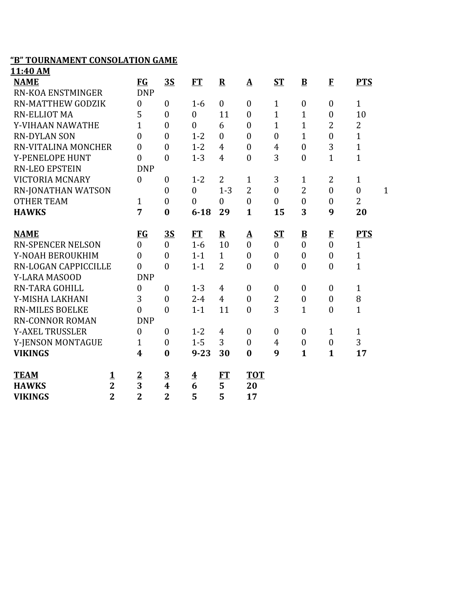#### **"B" TOURNAMENT CONSOLATION GAME**

| 11:40 AM                 |                |                         |                  |                         |                  |                   |                  |                          |                  |                  |              |
|--------------------------|----------------|-------------------------|------------------|-------------------------|------------------|-------------------|------------------|--------------------------|------------------|------------------|--------------|
| <b>NAME</b>              |                | <b>FG</b>               | <u>35</u>        | FT                      | ${\bf R}$        | $\mathbf{\Delta}$ | <b>ST</b>        | $\bf{B}$                 | $\bf{F}$         | <b>PTS</b>       |              |
| <b>RN-KOA ENSTMINGER</b> |                | <b>DNP</b>              |                  |                         |                  |                   |                  |                          |                  |                  |              |
| <b>RN-MATTHEW GODZIK</b> |                | $\boldsymbol{0}$        | $\boldsymbol{0}$ | $1-6$                   | $\boldsymbol{0}$ | $\mathbf{0}$      | $\mathbf{1}$     | $\boldsymbol{0}$         | $\boldsymbol{0}$ | $\mathbf{1}$     |              |
| <b>RN-ELLIOT MA</b>      |                | 5                       | $\boldsymbol{0}$ | $\boldsymbol{0}$        | 11               | $\mathbf{0}$      | $\mathbf{1}$     | $\mathbf 1$              | $\boldsymbol{0}$ | 10               |              |
| Y-VIHAAN NAWATHE         |                | $\overline{1}$          | $\overline{0}$   | $\mathbf{0}$            | 6                | $\mathbf{0}$      | $\mathbf{1}$     | $\overline{1}$           | $\overline{2}$   | $\overline{2}$   |              |
| <b>RN-DYLAN SON</b>      |                | $\theta$                | $\overline{0}$   | $1 - 2$                 | $\theta$         | $\mathbf{0}$      | $\overline{0}$   | 1                        | $\mathbf{0}$     | $\mathbf{1}$     |              |
| RN-VITALINA MONCHER      |                | $\theta$                | $\overline{0}$   | $1 - 2$                 | $\overline{4}$   | $\mathbf{0}$      | 4                | $\boldsymbol{0}$         | 3                | $\mathbf{1}$     |              |
| Y-PENELOPE HUNT          |                | $\mathbf{0}$            | $\boldsymbol{0}$ | $1 - 3$                 | $\overline{4}$   | $\boldsymbol{0}$  | 3                | $\boldsymbol{0}$         | $\overline{1}$   | $\mathbf{1}$     |              |
| <b>RN-LEO EPSTEIN</b>    |                | <b>DNP</b>              |                  |                         |                  |                   |                  |                          |                  |                  |              |
| <b>VICTORIA MCNARY</b>   |                | $\overline{0}$          | $\boldsymbol{0}$ | $1 - 2$                 | $\overline{2}$   | $\mathbf{1}$      | 3                | $\mathbf{1}$             | $\overline{2}$   | $\mathbf{1}$     |              |
| RN-JONATHAN WATSON       |                |                         | $\boldsymbol{0}$ | $\mathbf{0}$            | $1 - 3$          | $\overline{2}$    | $\overline{0}$   | $\overline{2}$           | $\mathbf{0}$     | $\boldsymbol{0}$ | $\mathbf{1}$ |
| <b>OTHER TEAM</b>        |                | $\overline{1}$          | $\overline{0}$   | $\boldsymbol{0}$        | $\overline{0}$   | $\mathbf{0}$      | $\boldsymbol{0}$ | $\boldsymbol{0}$         | $\mathbf{0}$     | $\overline{2}$   |              |
| <b>HAWKS</b>             |                | 7                       | $\bf{0}$         | $6 - 18$                | 29               | $\mathbf{1}$      | 15               | 3                        | 9                | 20               |              |
|                          |                |                         |                  |                         |                  |                   |                  |                          |                  |                  |              |
| <b>NAME</b>              |                | FG                      | <u>35</u>        | FT                      | $\mathbf R$      | ${\bf A}$         | $S_{\rm T}$      | $\underline{\mathbf{B}}$ | $\mathbf{F}$     | <b>PTS</b>       |              |
| <b>RN-SPENCER NELSON</b> |                | $\overline{0}$          | $\boldsymbol{0}$ | $1-6$                   | 10               | $\boldsymbol{0}$  | $\boldsymbol{0}$ | $\boldsymbol{0}$         | $\overline{0}$   | $\mathbf{1}$     |              |
| Y-NOAH BEROUKHIM         |                | $\theta$                | $\boldsymbol{0}$ | $1 - 1$                 | $\mathbf{1}$     | $\overline{0}$    | $\boldsymbol{0}$ | $\mathbf{0}$             | $\mathbf{0}$     | $\mathbf{1}$     |              |
| RN-LOGAN CAPPICCILLE     |                | $\theta$                | $\theta$         | $1 - 1$                 | $\overline{2}$   | $\theta$          | $\overline{0}$   | $\boldsymbol{0}$         | $\boldsymbol{0}$ | $\overline{1}$   |              |
| Y-LARA MASOOD            |                | <b>DNP</b>              |                  |                         |                  |                   |                  |                          |                  |                  |              |
| RN-TARA GOHILL           |                | $\overline{0}$          | $\mathbf{0}$     | $1 - 3$                 | 4                | $\boldsymbol{0}$  | $\boldsymbol{0}$ | $\boldsymbol{0}$         | $\boldsymbol{0}$ | $\mathbf{1}$     |              |
| Y-MISHA LAKHANI          |                | 3                       | $\boldsymbol{0}$ | $2 - 4$                 | $\overline{4}$   | $\mathbf{0}$      | 2                | $\boldsymbol{0}$         | $\boldsymbol{0}$ | 8                |              |
| <b>RN-MILES BOELKE</b>   |                | $\theta$                | $\boldsymbol{0}$ | $1 - 1$                 | 11               | $\mathbf{0}$      | 3                | $\mathbf{1}$             | $\boldsymbol{0}$ | $\mathbf{1}$     |              |
| <b>RN-CONNOR ROMAN</b>   |                | <b>DNP</b>              |                  |                         |                  |                   |                  |                          |                  |                  |              |
| <b>Y-AXEL TRUSSLER</b>   |                | $\overline{0}$          | $\boldsymbol{0}$ | $1 - 2$                 | $\overline{4}$   | $\boldsymbol{0}$  | $\boldsymbol{0}$ | $\boldsymbol{0}$         | 1                | $\mathbf{1}$     |              |
| Y-JENSON MONTAGUE        |                | 1                       | $\boldsymbol{0}$ | $1-5$                   | 3                | $\mathbf{0}$      | 4                | $\boldsymbol{0}$         | $\boldsymbol{0}$ | 3                |              |
| <b>VIKINGS</b>           |                | $\overline{\mathbf{4}}$ | $\bf{0}$         | $9 - 23$                | 30               | $\bf{0}$          | 9                | $\mathbf{1}$             | $\mathbf{1}$     | 17               |              |
|                          |                |                         |                  |                         |                  |                   |                  |                          |                  |                  |              |
| <b>TEAM</b>              | <u>1</u>       | $\overline{2}$          | $\overline{3}$   | $\overline{\mathbf{4}}$ | <b>FT</b>        | <b>TOT</b>        |                  |                          |                  |                  |              |
| <b>HAWKS</b>             | $\overline{2}$ | 3                       | 4                | 6                       | 5                | 20                |                  |                          |                  |                  |              |
| <b>VIKINGS</b>           | $\overline{2}$ | $\overline{2}$          | $\overline{2}$   | 5                       | 5                | 17                |                  |                          |                  |                  |              |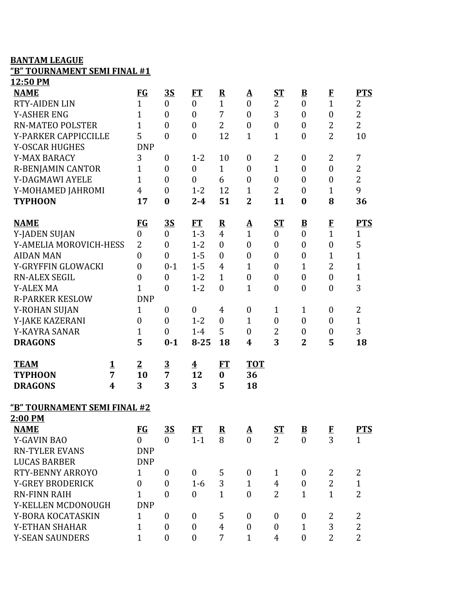## **BANTAM LEAGUE**

#### **"B" TOURNAMENT SEMI FINAL #1 12:50 PM**

| $\ddot{\phantom{1}}$<br><b>NAME</b> |   | <b>FG</b>        | <u>3S</u>               | FT                      | ${\bf R}$        | $\mathbf{\Delta}$        | $S_{1}$          | $\overline{\mathbf{B}}$ | $\mathbf{F}$                              | <b>PTS</b>     |
|-------------------------------------|---|------------------|-------------------------|-------------------------|------------------|--------------------------|------------------|-------------------------|-------------------------------------------|----------------|
| <b>RTY-AIDEN LIN</b>                |   | $\mathbf{1}$     | $\boldsymbol{0}$        | $\overline{0}$          | $\mathbf{1}$     | $\mathbf{0}$             | $\overline{2}$   | $\overline{0}$          | $\mathbf{1}$                              | $\overline{2}$ |
| <b>Y-ASHER ENG</b>                  |   | $\mathbf{1}$     | $\boldsymbol{0}$        | $\boldsymbol{0}$        | 7                | $\boldsymbol{0}$         | 3                | $\boldsymbol{0}$        | $\boldsymbol{0}$                          | $\overline{2}$ |
| <b>RN-MATEO POLSTER</b>             |   | $\overline{1}$   | $\boldsymbol{0}$        | $\boldsymbol{0}$        | $\overline{2}$   | $\boldsymbol{0}$         | $\boldsymbol{0}$ | $\boldsymbol{0}$        | $\overline{2}$                            | $\overline{2}$ |
| Y-PARKER CAPPICCILLE                |   | 5                | $\boldsymbol{0}$        | $\overline{0}$          | 12               | $\mathbf{1}$             | $\mathbf{1}$     | $\boldsymbol{0}$        | $\overline{2}$                            | 10             |
| <b>Y-OSCAR HUGHES</b>               |   | <b>DNP</b>       |                         |                         |                  |                          |                  |                         |                                           |                |
| Y-MAX BARACY                        |   | 3                | $\boldsymbol{0}$        | $1 - 2$                 | 10               | $\boldsymbol{0}$         | 2                | $\boldsymbol{0}$        | 2<br>$\boldsymbol{0}$<br>$\boldsymbol{0}$ | 7              |
| R-BENJAMIN CANTOR                   |   | $\mathbf{1}$     | $\boldsymbol{0}$        | $\boldsymbol{0}$        | $\mathbf{1}$     | $\mathbf{0}$             | $\mathbf{1}$     | $\boldsymbol{0}$        |                                           | $\overline{2}$ |
| Y-DAGMAWI AYELE                     |   | $\mathbf{1}$     | $\boldsymbol{0}$        | $\overline{0}$          | 6                | $\boldsymbol{0}$         | $\boldsymbol{0}$ | $\boldsymbol{0}$        |                                           | $\overline{2}$ |
| Y-MOHAMED JAHROMI                   |   | $\overline{4}$   | $\boldsymbol{0}$        | $1 - 2$                 | 12               | $\mathbf{1}$             | $\overline{2}$   | $\boldsymbol{0}$        | $\mathbf{1}$                              | 9              |
| <b>TYPHOON</b>                      |   | 17               | $\bf{0}$                | $2 - 4$                 | 51               | $\overline{2}$           | 11               | $\bf{0}$                | 8                                         | 36             |
| <b>NAME</b>                         |   | $FG$             | <u>35</u>               | FT                      | ${\bf R}$        | $\Delta$                 | $S_{\rm T}$      | ${\bf \underline{B}}$   | $\bf{F}$                                  | <b>PTS</b>     |
| Y-JADEN SUJAN                       |   | $\boldsymbol{0}$ | $\boldsymbol{0}$        | $1 - 3$                 | $\overline{4}$   | $\mathbf{1}$             | $\boldsymbol{0}$ | $\boldsymbol{0}$        | $\mathbf{1}$                              | $\mathbf{1}$   |
| Y-AMELIA MOROVICH-HESS              |   | $\overline{2}$   | $\boldsymbol{0}$        | $1 - 2$                 | $\boldsymbol{0}$ | $\boldsymbol{0}$         | $\boldsymbol{0}$ | $\boldsymbol{0}$        | $\boldsymbol{0}$                          | 5              |
| <b>AIDAN MAN</b>                    |   | $\boldsymbol{0}$ | $\boldsymbol{0}$        | $1 - 5$                 | $\overline{0}$   | $\boldsymbol{0}$         | $\boldsymbol{0}$ | $\boldsymbol{0}$        | $\mathbf{1}$                              | $\mathbf{1}$   |
| Y-GRYFFIN GLOWACKI                  |   | $\boldsymbol{0}$ | $0 - 1$                 | $1 - 5$                 | $\overline{4}$   | $\mathbf{1}$             | $\boldsymbol{0}$ | $\mathbf{1}$            | $\overline{2}$                            | $\mathbf{1}$   |
| <b>RN-ALEX SEGIL</b>                |   | $\mathbf{0}$     | $\boldsymbol{0}$        | $1 - 2$                 | $\mathbf{1}$     | $\boldsymbol{0}$         | $\boldsymbol{0}$ | $\boldsymbol{0}$        | $\boldsymbol{0}$                          | $\mathbf{1}$   |
| <b>Y-ALEX MA</b>                    |   | $\mathbf{1}$     | $\boldsymbol{0}$        | $1 - 2$                 | $\overline{0}$   | $\mathbf{1}$             | $\boldsymbol{0}$ | $\boldsymbol{0}$        | $\boldsymbol{0}$                          | 3              |
| <b>R-PARKER KESLOW</b>              |   | <b>DNP</b>       |                         |                         |                  |                          |                  |                         |                                           |                |
| Y-ROHAN SUJAN                       |   | $\mathbf{1}$     | $\boldsymbol{0}$        | $\boldsymbol{0}$        | 4                | $\boldsymbol{0}$         | $\mathbf{1}$     | 1                       | $\boldsymbol{0}$                          | 2              |
| Y-JAKE KAZERANI                     |   | $\boldsymbol{0}$ | $\boldsymbol{0}$        | $1 - 2$                 | $\boldsymbol{0}$ | $\mathbf{1}$             | $\boldsymbol{0}$ | $\boldsymbol{0}$        | $\boldsymbol{0}$                          | $\mathbf{1}$   |
| Y-KAYRA SANAR                       |   | $\mathbf{1}$     | $\boldsymbol{0}$        | $1-4$                   | 5                | $\boldsymbol{0}$         | $\overline{2}$   | $\boldsymbol{0}$        | $\boldsymbol{0}$                          | 3              |
| <b>DRAGONS</b>                      |   | 5                | $0 - 1$                 | $8 - 25$                | 18               | $\boldsymbol{4}$         | 3                | $\overline{\mathbf{2}}$ | 5                                         | 18             |
| <b>TEAM</b>                         | 1 | $\overline{2}$   | $\overline{\mathbf{3}}$ | $\overline{\mathbf{4}}$ | FT               | <b>TOT</b>               |                  |                         |                                           |                |
| <b>TYPHOON</b>                      | 7 | 10               | 7                       | 12                      | $\bf{0}$         | 36                       |                  |                         |                                           |                |
| <b>DRAGONS</b>                      | 4 | 3                | 3                       | 3                       | 5                | 18                       |                  |                         |                                           |                |
| "B" TOURNAMENT SEMI FINAL #2        |   |                  |                         |                         |                  |                          |                  |                         |                                           |                |
| 2:00 PM                             |   |                  |                         |                         |                  |                          |                  |                         |                                           |                |
| <u>NAME</u>                         |   | <u>FG</u>        | <u>3S</u>               | <u>ET</u>               | $\mathbf{R}$     | $\mathbf{\underline{A}}$ | <u>ST</u>        | $\overline{B}$          | $\bf{F}$                                  | <u>PTS</u>     |
| <b>Y-GAVIN BAO</b>                  |   | $\overline{0}$   | $\overline{0}$          | $1 - 1$                 | 8                | $\mathbf{0}$             | $\overline{2}$   | $\overline{0}$          | 3                                         | $\mathbf{1}$   |
| <b>RN-TYLER EVANS</b>               |   | <b>DNP</b>       |                         |                         |                  |                          |                  |                         |                                           |                |
| <b>LUCAS BARBER</b>                 |   | <b>DNP</b>       |                         |                         |                  |                          |                  |                         |                                           |                |
| RTY-BENNY ARROYO                    |   | $\mathbf{1}$     | $\boldsymbol{0}$        | $\overline{0}$          | 5                | $\mathbf{0}$             | $\mathbf{1}$     | $\mathbf{0}$            | 2                                         | 2              |
| <b>Y-GREY BRODERICK</b>             |   | $\mathbf{0}$     | $\boldsymbol{0}$        | $1-6$                   | 3                | $\mathbf{1}$             | $\overline{4}$   | $\boldsymbol{0}$        | $\overline{2}$                            | $\mathbf{1}$   |
| <b>RN-FINN RAIH</b>                 |   | $\mathbf{1}$     | $\overline{0}$          | $\mathbf{0}$            | $\mathbf{1}$     | $\mathbf{0}$             | $\overline{2}$   | $\mathbf{1}$            | $\mathbf{1}$                              | $\overline{2}$ |
| Y-KELLEN MCDONOUGH                  |   | <b>DNP</b>       |                         |                         |                  |                          |                  |                         |                                           |                |
| Y-BORA KOCATASKIN                   |   | $\mathbf{1}$     | $\boldsymbol{0}$        | $\mathbf{0}$            | 5                | $\mathbf{0}$             | $\mathbf{0}$     | $\boldsymbol{0}$        | 2                                         | $\overline{2}$ |
| Y-ETHAN SHAHAR                      |   | $\mathbf{1}$     | $\boldsymbol{0}$        | $\mathbf{0}$            | $\overline{4}$   | $\boldsymbol{0}$         | $\boldsymbol{0}$ | $\mathbf{1}$            | 3                                         | $\overline{2}$ |
| <b>Y-SEAN SAUNDERS</b>              |   | $\mathbf{1}$     | $\boldsymbol{0}$        | $\overline{0}$          | 7                | $\mathbf{1}$             | $\overline{4}$   | $\boldsymbol{0}$        | $\overline{2}$                            | $\overline{2}$ |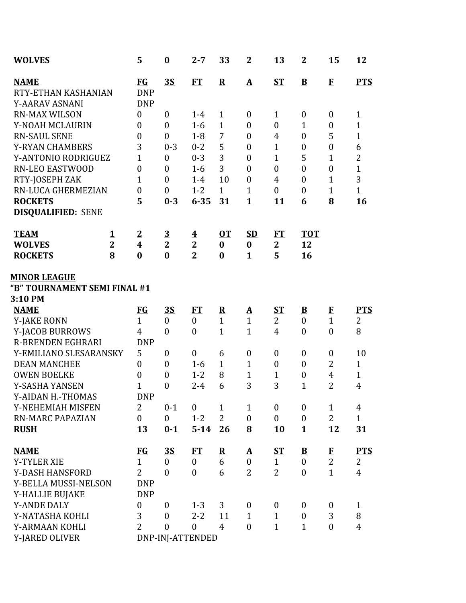| <b>WOLVES</b>                                        |                | 5                                  | $\boldsymbol{0}$ | $2 - 7$                              | 33                      | $\mathbf{2}$      | 13               | $\mathbf{2}$            | 15                         | 12             |
|------------------------------------------------------|----------------|------------------------------------|------------------|--------------------------------------|-------------------------|-------------------|------------------|-------------------------|----------------------------|----------------|
| <b>NAME</b><br>RTY-ETHAN KASHANIAN<br>Y-AARAV ASNANI |                | $FG$<br><b>DNP</b><br><b>DNP</b>   | 3S               | FT                                   | $\mathbf R$             | $\mathbf{\Delta}$ | $S_{\mathbf{T}}$ | $\mathbf{B}$            | $\mathbf{F}$               | <b>PTS</b>     |
| <b>RN-MAX WILSON</b>                                 |                | $\mathbf{0}$                       | $\boldsymbol{0}$ | $1 - 4$                              | $\mathbf{1}$            | $\boldsymbol{0}$  | $\mathbf{1}$     | $\boldsymbol{0}$        | $\boldsymbol{0}$           | $\mathbf{1}$   |
| Y-NOAH MCLAURIN                                      |                | $\overline{0}$                     | $\boldsymbol{0}$ | $1-6$                                | $\mathbf{1}$            | $\boldsymbol{0}$  | $\boldsymbol{0}$ | $\mathbf{1}$            | $\boldsymbol{0}$           | $\mathbf{1}$   |
| <b>RN-SAUL SENE</b>                                  |                | $\overline{0}$                     | $\boldsymbol{0}$ | $1 - 8$                              | 7                       | $\boldsymbol{0}$  | $\overline{4}$   | $\boldsymbol{0}$        | 5                          | $\mathbf{1}$   |
| <b>Y-RYAN CHAMBERS</b>                               |                | 3                                  | $0 - 3$          | $0 - 2$                              | 5                       | $\boldsymbol{0}$  | $\overline{1}$   | $\boldsymbol{0}$        | $\boldsymbol{0}$           | 6              |
| Y-ANTONIO RODRIGUEZ                                  |                | $\overline{1}$                     | $\boldsymbol{0}$ | $0 - 3$                              | 3                       | $\boldsymbol{0}$  | $\mathbf{1}$     | 5                       | $\mathbf{1}$               | $\overline{2}$ |
| <b>RN-LEO EASTWOOD</b>                               |                | $\overline{0}$                     | $\mathbf{0}$     | $1-6$                                | 3                       | $\overline{0}$    | $\mathbf{0}$     | $\boldsymbol{0}$        | $\boldsymbol{0}$           | $\mathbf{1}$   |
| RTY-JOSEPH ZAK                                       |                | $\overline{1}$                     | $\boldsymbol{0}$ | $1-4$                                | 10                      | $\boldsymbol{0}$  | $\overline{4}$   | $\boldsymbol{0}$        | $\mathbf{1}$               | 3              |
| RN-LUCA GHERMEZIAN                                   |                | $\mathbf{0}$                       | $\boldsymbol{0}$ | $1 - 2$                              | $\mathbf{1}$            | $\mathbf{1}$      | $\boldsymbol{0}$ | $\boldsymbol{0}$        | $\mathbf{1}$               | $\overline{1}$ |
| <b>ROCKETS</b>                                       |                | 5                                  | $0 - 3$          | $6 - 35$                             | 31                      | $\mathbf{1}$      | 11               | 6                       | 8                          | 16             |
| <b>DISQUALIFIED: SENE</b>                            |                |                                    |                  |                                      |                         |                   |                  |                         |                            |                |
| <b>TEAM</b>                                          | <u>1</u>       | $\overline{2}$                     | $\overline{3}$   | $\overline{\textbf{4}}$              | 0 <sub>T</sub>          | SD                | FT               | <b>TOT</b>              |                            |                |
| <b>WOLVES</b>                                        | $\overline{2}$ | $\overline{\mathbf{4}}$            | $\overline{2}$   | $\overline{2}$                       | $\boldsymbol{0}$        | $\bf{0}$          | $\overline{2}$   | 12                      |                            |                |
| <b>ROCKETS</b>                                       | 8              | $\bf{0}$                           | $\bf{0}$         | $\overline{2}$                       | $\bf{0}$                | $\mathbf{1}$      | 5                | 16                      |                            |                |
| <b>MINOR LEAGUE</b>                                  |                |                                    |                  |                                      |                         |                   |                  |                         |                            |                |
| <u>"B" TOURNAMENT SEMI FINAL #1</u>                  |                |                                    |                  |                                      |                         |                   |                  |                         |                            |                |
| 3:10 PM                                              |                |                                    |                  |                                      |                         |                   |                  |                         |                            |                |
| <b>NAME</b>                                          |                | <b>FG</b>                          | <u>35</u>        | ET                                   | $\overline{\mathbf{R}}$ | <u>A</u>          | <u>ST</u>        | $\overline{\mathbf{B}}$ | $\bf{F}$                   | <b>PTS</b>     |
|                                                      |                |                                    |                  |                                      |                         |                   |                  |                         |                            |                |
| <b>Y-JAKE RONN</b>                                   |                | $\mathbf{1}$                       | $\boldsymbol{0}$ | $\boldsymbol{0}$                     | $\mathbf{1}$            | $\mathbf{1}$      | $\overline{2}$   | $\boldsymbol{0}$        | $\mathbf{1}$               | 2              |
| Y-JACOB BURROWS                                      |                | $\overline{4}$                     | $\overline{0}$   | $\boldsymbol{0}$                     | $\overline{1}$          | $\mathbf{1}$      | $\overline{4}$   | $\boldsymbol{0}$        | $\boldsymbol{0}$           | 8              |
| <b>R-BRENDEN EGHRARI</b>                             |                | <b>DNP</b>                         |                  |                                      |                         |                   |                  |                         |                            |                |
| Y-EMILIANO SLESARANSKY                               |                | 5                                  | $\boldsymbol{0}$ | $\boldsymbol{0}$                     | 6                       | $\boldsymbol{0}$  | $\boldsymbol{0}$ | $\boldsymbol{0}$        | $\boldsymbol{0}$           | 10             |
| <b>DEAN MANCHEE</b>                                  |                | $\boldsymbol{0}$                   | $\boldsymbol{0}$ | $1-6$                                | $\mathbf{1}$            | $\mathbf{1}$      | $\boldsymbol{0}$ | $\boldsymbol{0}$        | $\overline{2}$             | $\mathbf{1}$   |
| <b>OWEN BOELKE</b>                                   |                | 0                                  | $\boldsymbol{0}$ | $1 - 2$                              | 8                       | $\mathbf{1}$      | 1                | $\boldsymbol{0}$        | $\overline{4}$             | $\mathbf{1}$   |
| Y-SASHA YANSEN                                       |                | $\overline{1}$                     | $\boldsymbol{0}$ | $2 - 4$                              | 6                       | 3                 | 3                | $\mathbf{1}$            | $\overline{2}$             | $\overline{4}$ |
| Y-AIDAN H.-THOMAS                                    |                | <b>DNP</b>                         |                  |                                      |                         |                   |                  |                         |                            |                |
| Y-NEHEMIAH MISFEN                                    |                | $\overline{2}$                     | $0 - 1$          | $\boldsymbol{0}$                     | $\mathbf{1}$            | $\mathbf{1}$      | $\boldsymbol{0}$ | $\boldsymbol{0}$        | $\mathbf{1}$               | 4              |
| <b>RN-MARC PAPAZIAN</b>                              |                | $\overline{0}$                     | $\overline{0}$   | $1 - 2$                              | $\overline{2}$          | $\mathbf{0}$      | $\overline{0}$   | $\boldsymbol{0}$        | $\overline{2}$             | $\mathbf{1}$   |
| <b>RUSH</b>                                          |                | 13                                 | $0 - 1$          | $5 - 14$                             | 26                      | 8                 | 10               | $\mathbf{1}$            | 12                         | 31             |
| <b>NAME</b>                                          |                | $\underline{\mathbf{F}\mathbf{G}}$ | <u>3S</u>        | ET                                   | $\overline{\mathbf{R}}$ | $\underline{A}$   | <u>ST</u>        | $\overline{\mathbf{B}}$ |                            | <b>PTS</b>     |
| <b>Y-TYLER XIE</b>                                   |                | $\mathbf{1}$                       | $\Omega$         | $\overline{0}$                       | 6                       | $\overline{0}$    | $\mathbf{1}$     | $\overline{0}$          | $\bf{F}$<br>$\overline{2}$ | 2              |
| <b>Y-DASH HANSFORD</b>                               |                | $\overline{2}$                     | $\theta$         | $\mathbf{0}$                         | 6                       | $\overline{2}$    | $\overline{2}$   | $\boldsymbol{0}$        | $\mathbf{1}$               | $\overline{4}$ |
| Y-BELLA MUSSI-NELSON                                 |                | <b>DNP</b>                         |                  |                                      |                         |                   |                  |                         |                            |                |
| Y-HALLIE BUJAKE                                      |                | <b>DNP</b>                         |                  |                                      |                         |                   |                  |                         |                            |                |
| <b>Y-ANDE DALY</b>                                   |                | $\boldsymbol{0}$                   | $\overline{0}$   | $1 - 3$                              | 3                       | $\boldsymbol{0}$  | $\boldsymbol{0}$ | $\boldsymbol{0}$        | $\boldsymbol{0}$           | $\mathbf{1}$   |
| Y-NATASHA KOHLI                                      |                | 3                                  | $\overline{0}$   | $2 - 2$                              | 11                      | $\mathbf{1}$      | $\mathbf{1}$     | $\boldsymbol{0}$        | 3                          | 8              |
| Y-ARMAAN KOHLI<br>Y-JARED OLIVER                     |                | $\overline{2}$                     | $\mathbf{0}$     | $\boldsymbol{0}$<br>DNP-INJ-ATTENDED | $\overline{4}$          | $\theta$          | $\mathbf{1}$     | $\mathbf{1}$            | $\boldsymbol{0}$           | $\overline{4}$ |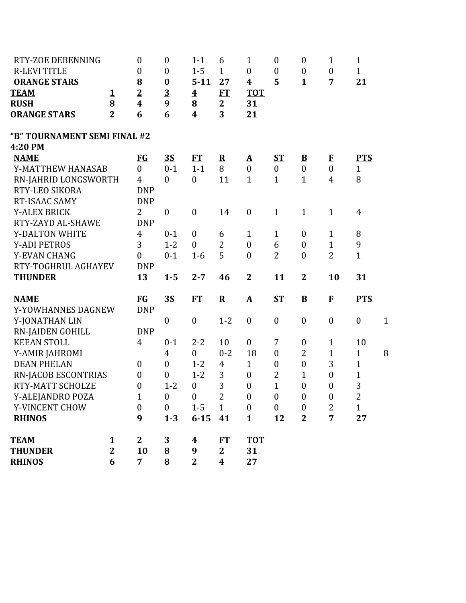| <b>RHINOS</b>                       | 6                          | 7                       | 8                   | $\mathbf{2}$                 | $\boldsymbol{4}$   | 27               |                  |                         |                  |                  |              |
|-------------------------------------|----------------------------|-------------------------|---------------------|------------------------------|--------------------|------------------|------------------|-------------------------|------------------|------------------|--------------|
| <b>TEAM</b><br><b>THUNDER</b>       | <u>1</u><br>$\overline{2}$ | $\overline{2}$<br>10    | $\overline{3}$<br>8 | $\overline{\mathbf{4}}$<br>9 | FT<br>$\mathbf{2}$ | <b>TOT</b><br>31 |                  |                         |                  |                  |              |
| <b>RHINOS</b>                       |                            | 9                       | $1 - 3$             | $6 - 15$                     | 41                 | $\mathbf{1}$     | 12               | $\overline{2}$          | 7                | 27               |              |
| Y-VINCENT CHOW                      |                            | $\mathbf{0}$            | $\boldsymbol{0}$    | $1 - 5$                      | $\mathbf{1}$       | $\boldsymbol{0}$ | $\boldsymbol{0}$ | $\boldsymbol{0}$        | $\overline{2}$   | $\mathbf{1}$     |              |
| Y-ALEJANDRO POZA                    |                            | $\mathbf{1}$            | $\boldsymbol{0}$    | $\mathbf{0}$                 | $\overline{2}$     | $\boldsymbol{0}$ | $\boldsymbol{0}$ | $\boldsymbol{0}$        | $\boldsymbol{0}$ | $\overline{2}$   |              |
| RTY-MATT SCHOLZE                    |                            | $\boldsymbol{0}$        | $1 - 2$             | $\boldsymbol{0}$             | 3                  | $\boldsymbol{0}$ | $\mathbf{1}$     | $\boldsymbol{0}$        | $\boldsymbol{0}$ | 3                |              |
| RN-JACOB ESCONTRIAS                 |                            | $\boldsymbol{0}$        | $\boldsymbol{0}$    | $1 - 2$                      | 3                  | $\boldsymbol{0}$ | 2                | $\mathbf{1}$            | $\boldsymbol{0}$ | $\mathbf{1}$     |              |
| <b>DEAN PHELAN</b>                  |                            | $\boldsymbol{0}$        | $\boldsymbol{0}$    | $1 - 2$                      | 4                  | $\mathbf{1}$     | $\boldsymbol{0}$ | $\boldsymbol{0}$        | 3                | $\mathbf{1}$     |              |
| Y-AMIR JAHROMI                      |                            |                         | 4                   | $\boldsymbol{0}$             | $0 - 2$            | 18               | $\boldsymbol{0}$ | $\overline{2}$          | $\mathbf 1$      | $\mathbf{1}$     | 8            |
| <b>KEEAN STOLL</b>                  |                            | $\overline{4}$          | $0 - 1$             | $2 - 2$                      | 10                 | $\boldsymbol{0}$ | 7                | $\boldsymbol{0}$        | $\mathbf{1}$     | 10               |              |
| <b>RN-JAIDEN GOHILL</b>             |                            | <b>DNP</b>              |                     |                              |                    |                  |                  |                         |                  |                  |              |
| Y-JONATHAN LIN                      |                            |                         | $\boldsymbol{0}$    | $\boldsymbol{0}$             | $1 - 2$            | $\boldsymbol{0}$ | $\boldsymbol{0}$ | $\boldsymbol{0}$        | $\boldsymbol{0}$ | $\boldsymbol{0}$ | $\mathbf{1}$ |
| Y-YOWHANNES DAGNEW                  |                            | <b>DNP</b>              |                     |                              |                    |                  |                  |                         |                  |                  |              |
| <b>NAME</b>                         |                            | $FG$                    | <u>35</u>           | ET                           | $\mathbf R$        | $\Delta$         | $S_{\mathbf{T}}$ | $\mathbf{B}$            | $\bf{F}$         | <b>PTS</b>       |              |
| <b>THUNDER</b>                      |                            | 13                      | $1 - 5$             | $2 - 7$                      | 46                 | $\overline{2}$   | 11               | $\overline{2}$          | 10               | 31               |              |
| RTY-TOGHRUL AGHAYEV                 |                            | <b>DNP</b>              |                     |                              |                    |                  |                  |                         |                  |                  |              |
| Y-EVAN CHANG                        |                            | $\overline{0}$          | $0 - 1$             | $1-6$                        | 5                  | $\boldsymbol{0}$ | $\overline{2}$   | $\boldsymbol{0}$        | $\overline{2}$   | $\mathbf{1}$     |              |
| <b>Y-ADI PETROS</b>                 |                            | 3                       | $1 - 2$             | $\boldsymbol{0}$             | $\overline{2}$     | $\boldsymbol{0}$ | 6                | $\boldsymbol{0}$        | $\mathbf{1}$     | 9                |              |
| <b>Y-DALTON WHITE</b>               |                            | 4                       | $0 - 1$             | $\boldsymbol{0}$             | 6                  | $\mathbf{1}$     | $\mathbf{1}$     | $\boldsymbol{0}$        | 1                | 8                |              |
| RTY-ZAYD AL-SHAWE                   |                            | <b>DNP</b>              |                     |                              |                    |                  |                  |                         |                  |                  |              |
| <b>Y-ALEX BRICK</b>                 |                            | $\overline{2}$          | $\boldsymbol{0}$    | $\boldsymbol{0}$             | 14                 | $\boldsymbol{0}$ | $\mathbf{1}$     | $\mathbf{1}$            | $\mathbf{1}$     | 4                |              |
| RT-ISAAC SAMY                       |                            | <b>DNP</b>              |                     |                              |                    |                  |                  |                         |                  |                  |              |
| RTY-LEO SIKORA                      |                            | <b>DNP</b>              |                     |                              |                    |                  |                  |                         |                  |                  |              |
| RN-JAHRID LONGSWORTH                |                            | $\overline{4}$          | $\boldsymbol{0}$    | $\boldsymbol{0}$             | 11                 | $\mathbf{1}$     | $\mathbf{1}$     | $\mathbf{1}$            | $\overline{4}$   | 8                |              |
| Y-MATTHEW HANASAB                   |                            | $\overline{0}$          | $0 - 1$             | $1 - 1$                      | 8                  | $\overline{0}$   | $\overline{0}$   | $\boldsymbol{0}$        | $\overline{0}$   | $\mathbf{1}$     |              |
| <b>NAME</b>                         |                            | <b>FG</b>               | <u>35</u>           | ET                           | $\mathbf R$        | $\Delta$         | ST               | $\overline{\mathbf{B}}$ | $\mathbf{F}$     | <b>PTS</b>       |              |
| 4:20 PM                             |                            |                         |                     |                              |                    |                  |                  |                         |                  |                  |              |
| <u>"B" TOURNAMENT SEMI FINAL #2</u> |                            |                         |                     |                              |                    |                  |                  |                         |                  |                  |              |
| <b>ORANGE STARS</b>                 | $\overline{2}$             | 6                       | 6                   | $\boldsymbol{4}$             | 3                  | 21               |                  |                         |                  |                  |              |
| <b>RUSH</b>                         | 8                          | $\overline{\mathbf{4}}$ | 9                   | 8                            | $\overline{2}$     | 31               |                  |                         |                  |                  |              |
| <b>TEAM</b>                         | <u>1</u>                   | $\overline{2}$          | $\overline{3}$      | $\overline{\textbf{4}}$      | <u>FT</u>          | <b>TOT</b>       |                  |                         |                  |                  |              |
| <b>ORANGE STARS</b>                 |                            | 8                       | $\bf{0}$            | $5 - 11$                     | 27                 | 4                | 5                | $\mathbf{1}$            | 7                | 21               |              |
| <b>R-LEVI TITLE</b>                 |                            | $\boldsymbol{0}$        | $\boldsymbol{0}$    | $1 - 5$                      | $\mathbf{1}$       | $\boldsymbol{0}$ | $\boldsymbol{0}$ | $\boldsymbol{0}$        | $\boldsymbol{0}$ | $\mathbf{1}$     |              |
| RTY-ZOE DEBENNING                   |                            | $\boldsymbol{0}$        | $\boldsymbol{0}$    | $1 - 1$                      | 6                  | 1                | $\boldsymbol{0}$ | $\boldsymbol{0}$        | 1                | $\mathbf{1}$     |              |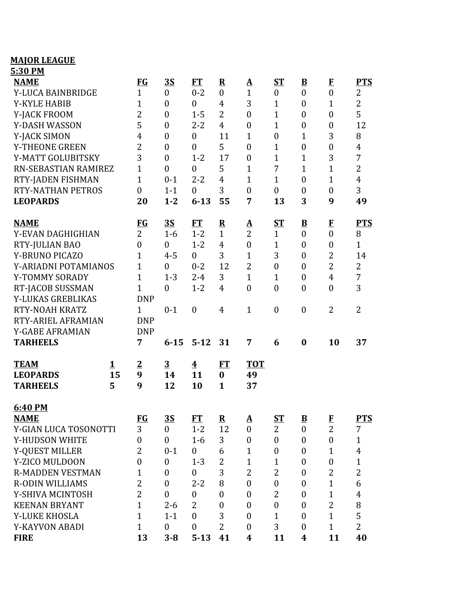# **MAJOR LEAGUE**

| 5:30 PM                  |          |                  |                  |                         |                  |                          |                  |                          |                  |                |
|--------------------------|----------|------------------|------------------|-------------------------|------------------|--------------------------|------------------|--------------------------|------------------|----------------|
| <b>NAME</b>              |          | <b>FG</b>        | <u>35</u>        | <b>FT</b>               | ${\bf R}$        | $\underline{\mathbf{A}}$ | $ST$             | $\underline{\mathbf{B}}$ | $\mathbf{F}$     | <b>PTS</b>     |
| Y-LUCA BAINBRIDGE        |          | $\mathbf{1}$     | $\overline{0}$   | $0 - 2$                 | $\overline{0}$   | $\mathbf{1}$             | $\overline{0}$   | $\boldsymbol{0}$         | $\mathbf{0}$     | $\overline{2}$ |
| <b>Y-KYLE HABIB</b>      |          | 1                | $\boldsymbol{0}$ | $\mathbf{0}$            | 4                | 3                        | $\mathbf{1}$     | $\boldsymbol{0}$         | $\mathbf{1}$     | $\overline{2}$ |
| Y-JACK FROOM             |          | $\overline{2}$   | $\boldsymbol{0}$ | $1 - 5$                 | $\overline{2}$   | $\boldsymbol{0}$         | $\mathbf{1}$     | $\boldsymbol{0}$         | $\boldsymbol{0}$ | 5              |
| Y-DASH WASSON            |          | 5                | $\boldsymbol{0}$ | $2 - 2$                 | $\overline{4}$   | $\overline{0}$           | $\mathbf{1}$     | $\boldsymbol{0}$         | $\boldsymbol{0}$ | 12             |
| Y-JACK SIMON             |          | 4                | $\boldsymbol{0}$ | $\overline{0}$          | 11               | $\mathbf{1}$             | $\boldsymbol{0}$ | $\mathbf{1}$             | 3                | 8              |
| <b>Y-THEONE GREEN</b>    |          | $\overline{2}$   | $\boldsymbol{0}$ | $\boldsymbol{0}$        | 5                | $\boldsymbol{0}$         | $\mathbf{1}$     | $\boldsymbol{0}$         | $\boldsymbol{0}$ | $\overline{4}$ |
| Y-MATT GOLUBITSKY        |          | 3                | $\boldsymbol{0}$ | $1 - 2$                 | 17               | $\boldsymbol{0}$         | $\mathbf{1}$     | $\mathbf{1}$             | 3                | $\overline{7}$ |
| RN-SEBASTIAN RAMIREZ     |          | $\mathbf{1}$     | $\boldsymbol{0}$ | $\overline{0}$          | 5                | $\mathbf{1}$             | 7                | $\mathbf{1}$             | $\mathbf{1}$     | $\overline{2}$ |
| RTY-JADEN FISHMAN        |          | $\mathbf{1}$     | $0 - 1$          | $2 - 2$                 | $\overline{4}$   | $\mathbf{1}$             | $\mathbf{1}$     | $\boldsymbol{0}$         | $\mathbf{1}$     | $\overline{4}$ |
| <b>RTY-NATHAN PETROS</b> |          | $\boldsymbol{0}$ | $1 - 1$          | $\boldsymbol{0}$        | 3                | $\boldsymbol{0}$         | $\overline{0}$   | $\boldsymbol{0}$         | $\boldsymbol{0}$ | 3              |
| <b>LEOPARDS</b>          |          | 20               | $1 - 2$          | $6 - 13$                | 55               | 7                        | 13               | 3                        | 9                | 49             |
| <b>NAME</b>              |          | <b>FG</b>        | $\overline{35}$  | FT                      | ${\bf R}$        | <u>A</u>                 | S <sub>T</sub>   | $\underline{\mathbf{B}}$ | $\mathbf F$      | <b>PTS</b>     |
| Y-EVAN DAGHIGHIAN        |          | $\overline{2}$   | $1-6$            | $1 - 2$                 | $\mathbf{1}$     | $\overline{2}$           | $\mathbf{1}$     | $\boldsymbol{0}$         | $\boldsymbol{0}$ | 8              |
| RTY-JULIAN BAO           |          | $\boldsymbol{0}$ | $\mathbf{0}$     | $1 - 2$                 | $\overline{4}$   | $\mathbf{0}$             | $\mathbf{1}$     | $\boldsymbol{0}$         | $\boldsymbol{0}$ | $\mathbf{1}$   |
| <b>Y-BRUNO PICAZO</b>    |          | $\mathbf{1}$     | $4 - 5$          | $\mathbf{0}$            | 3                | $\mathbf{1}$             | 3                | $\boldsymbol{0}$         | $\overline{2}$   | 14             |
| Y-ARIADNI POTAMIANOS     |          | $\mathbf{1}$     | $\overline{0}$   | $0 - 2$                 | 12               | $\overline{2}$           | $\boldsymbol{0}$ | $\boldsymbol{0}$         | $\overline{2}$   | $\overline{2}$ |
| Y-TOMMY SORADY           |          | $\mathbf{1}$     | $1 - 3$          | $2 - 4$                 | 3                | $\mathbf{1}$             | $\mathbf{1}$     | $\boldsymbol{0}$         | $\overline{4}$   | $\overline{7}$ |
| RT-JACOB SUSSMAN         |          | $\mathbf{1}$     | $\boldsymbol{0}$ | $1 - 2$                 | $\overline{4}$   | $\overline{0}$           | $\boldsymbol{0}$ | $\boldsymbol{0}$         | $\boldsymbol{0}$ | 3              |
| Y-LUKAS GREBLIKAS        |          | <b>DNP</b>       |                  |                         |                  |                          |                  |                          |                  |                |
| RTY-NOAH KRATZ           |          | $\mathbf{1}$     | $0 - 1$          | $\boldsymbol{0}$        | $\overline{4}$   | $\mathbf{1}$             | $\boldsymbol{0}$ | $\boldsymbol{0}$         | $\overline{2}$   | $\overline{2}$ |
| RTY-ARIEL AFRAMIAN       |          | <b>DNP</b>       |                  |                         |                  |                          |                  |                          |                  |                |
| Y-GABE AFRAMIAN          |          | <b>DNP</b>       |                  |                         |                  |                          |                  |                          |                  |                |
| <b>TARHEELS</b>          |          | 7                | $6 - 15$         | $5 - 12$                | 31               | 7                        | 6                | $\boldsymbol{0}$         | 10               | 37             |
| <b>TEAM</b>              | <u>1</u> | $\overline{2}$   | $\overline{3}$   | $\overline{\mathbf{4}}$ | ET               | <b>TOT</b>               |                  |                          |                  |                |
| <b>LEOPARDS</b>          | 15       | 9                | 14               | 11                      | $\bf{0}$         | 49                       |                  |                          |                  |                |
| <b>TARHEELS</b>          | 5        | 9                | 12               | 10                      | $\mathbf{1}$     | 37                       |                  |                          |                  |                |
| 6:40 PM                  |          |                  |                  |                         |                  |                          |                  |                          |                  |                |
| <b>NAME</b>              |          | <b>FG</b>        | <u>3S</u>        | <b>FT</b>               | $\mathbf{R}$     | $\mathbf{\underline{A}}$ | ST               | $\underline{\mathbf{B}}$ | $\bf{F}$         | <b>PTS</b>     |
| Y-GIAN LUCA TOSONOTTI    |          | 3                | $\overline{0}$   | $1 - 2$                 | 12               | $\boldsymbol{0}$         | $\overline{2}$   | $\boldsymbol{0}$         | $\overline{2}$   | 7              |
| Y-HUDSON WHITE           |          | $\boldsymbol{0}$ | $\mathbf{0}$     | $1-6$                   | 3                | $\mathbf{0}$             | $\boldsymbol{0}$ | $\boldsymbol{0}$         | $\boldsymbol{0}$ | $\mathbf{1}$   |
| Y-QUEST MILLER           |          | $\overline{2}$   | $0 - 1$          | $\overline{0}$          | 6                | $\mathbf{1}$             | $\boldsymbol{0}$ | $\boldsymbol{0}$         | $\mathbf{1}$     | $\overline{4}$ |
| Y-ZICO MULDOON           |          | $\boldsymbol{0}$ | $\boldsymbol{0}$ | $1 - 3$                 | $\overline{2}$   | $\mathbf{1}$             | $\mathbf{1}$     | $\boldsymbol{0}$         | $\boldsymbol{0}$ | $\mathbf{1}$   |
| <b>R-MADDEN VESTMAN</b>  |          | 1                | $\boldsymbol{0}$ | $\boldsymbol{0}$        | 3                | $\overline{2}$           | $\overline{2}$   | $\boldsymbol{0}$         | $\overline{2}$   | $\overline{2}$ |
| <b>R-ODIN WILLIAMS</b>   |          | $\overline{2}$   | $\boldsymbol{0}$ | $2 - 2$                 | 8                | $\boldsymbol{0}$         | $\mathbf{0}$     | $\boldsymbol{0}$         | $\mathbf{1}$     | 6              |
| Y-SHIVA MCINTOSH         |          | $\overline{2}$   | $\mathbf{0}$     | $\boldsymbol{0}$        | $\boldsymbol{0}$ | $\boldsymbol{0}$         | 2                | $\boldsymbol{0}$         | $\mathbf{1}$     | $\overline{4}$ |
| <b>KEENAN BRYANT</b>     |          | $\mathbf{1}$     | $2 - 6$          | 2                       | $\boldsymbol{0}$ | $\mathbf{0}$             | $\boldsymbol{0}$ | $\boldsymbol{0}$         | $\overline{2}$   | 8              |
| Y-LUKE KHOSLA            |          | $\mathbf{1}$     | $1 - 1$          | $\overline{0}$          | 3                | $\boldsymbol{0}$         | $\mathbf{1}$     | $\boldsymbol{0}$         | $\mathbf{1}$     | 5              |
| Y-KAYVON ABADI           |          | $\mathbf{1}$     | 0                | $\boldsymbol{0}$        | $\overline{2}$   | $\boldsymbol{0}$         | 3                | $\boldsymbol{0}$         | $\mathbf{1}$     | $\overline{2}$ |
| <b>FIRE</b>              |          | 13               | $3 - 8$          | $5 - 13$                | 41               | 4                        | 11               | 4                        | 11               | 40             |